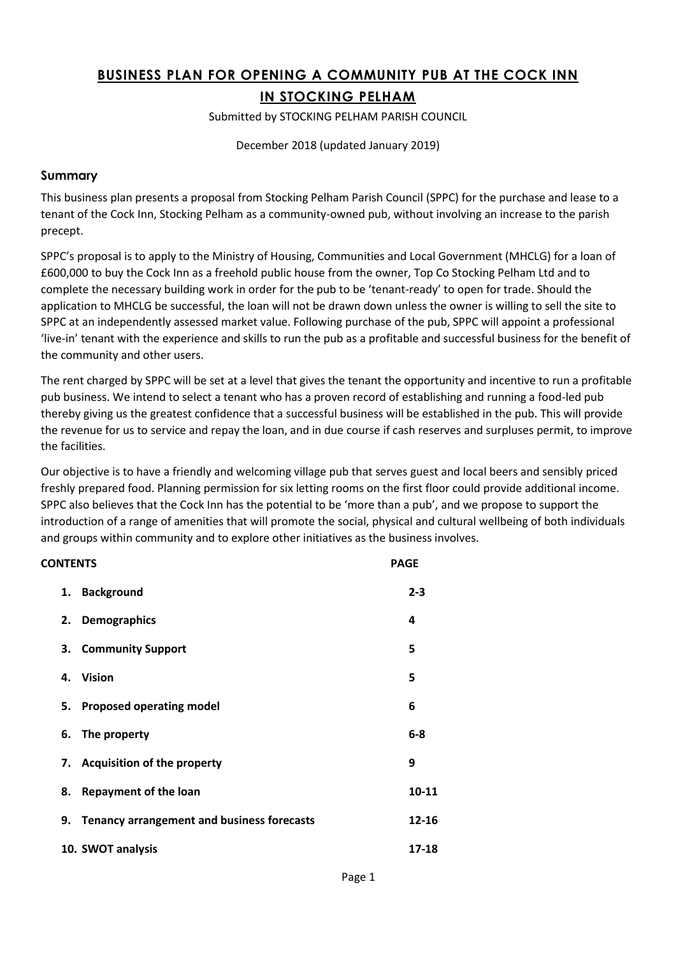# **BUSINESS PLAN FOR OPENING A COMMUNITY PUB AT THE COCK INN IN STOCKING PELHAM**

Submitted by STOCKING PELHAM PARISH COUNCIL

December 2018 (updated January 2019)

### **Summary**

This business plan presents a proposal from Stocking Pelham Parish Council (SPPC) for the purchase and lease to a tenant of the Cock Inn, Stocking Pelham as a community‐owned pub, without involving an increase to the parish precept.

SPPC's proposal is to apply to the Ministry of Housing, Communities and Local Government (MHCLG) for a loan of £600,000 to buy the Cock Inn as a freehold public house from the owner, Top Co Stocking Pelham Ltd and to complete the necessary building work in order for the pub to be 'tenant-ready' to open for trade. Should the application to MHCLG be successful, the loan will not be drawn down unless the owner is willing to sell the site to SPPC at an independently assessed market value. Following purchase of the pub, SPPC will appoint a professional 'live-in' tenant with the experience and skills to run the pub as a profitable and successful business for the benefit of the community and other users.

The rent charged by SPPC will be set at a level that gives the tenant the opportunity and incentive to run a profitable pub business. We intend to select a tenant who has a proven record of establishing and running a food-led pub thereby giving us the greatest confidence that a successful business will be established in the pub. This will provide the revenue for us to service and repay the loan, and in due course if cash reserves and surpluses permit, to improve the facilities.

Our objective is to have a friendly and welcoming village pub that serves guest and local beers and sensibly priced freshly prepared food. Planning permission for six letting rooms on the first floor could provide additional income. SPPC also believes that the Cock Inn has the potential to be 'more than a pub', and we propose to support the introduction of a range of amenities that will promote the social, physical and cultural wellbeing of both individuals and groups within community and to explore other initiatives as the business involves.

| <b>CONTENTS</b> |                                                   | <b>PAGE</b> |
|-----------------|---------------------------------------------------|-------------|
| 1.              | <b>Background</b>                                 | $2 - 3$     |
| 2.              | <b>Demographics</b>                               | 4           |
|                 | 3. Community Support                              | 5           |
|                 | 4. Vision                                         | 5           |
|                 | 5. Proposed operating model                       | 6           |
| 6.              | The property                                      | $6 - 8$     |
|                 | 7. Acquisition of the property                    | 9           |
| 8.              | <b>Repayment of the loan</b>                      | 10-11       |
| 9.              | <b>Tenancy arrangement and business forecasts</b> | 12-16       |
|                 | 10. SWOT analysis                                 | 17-18       |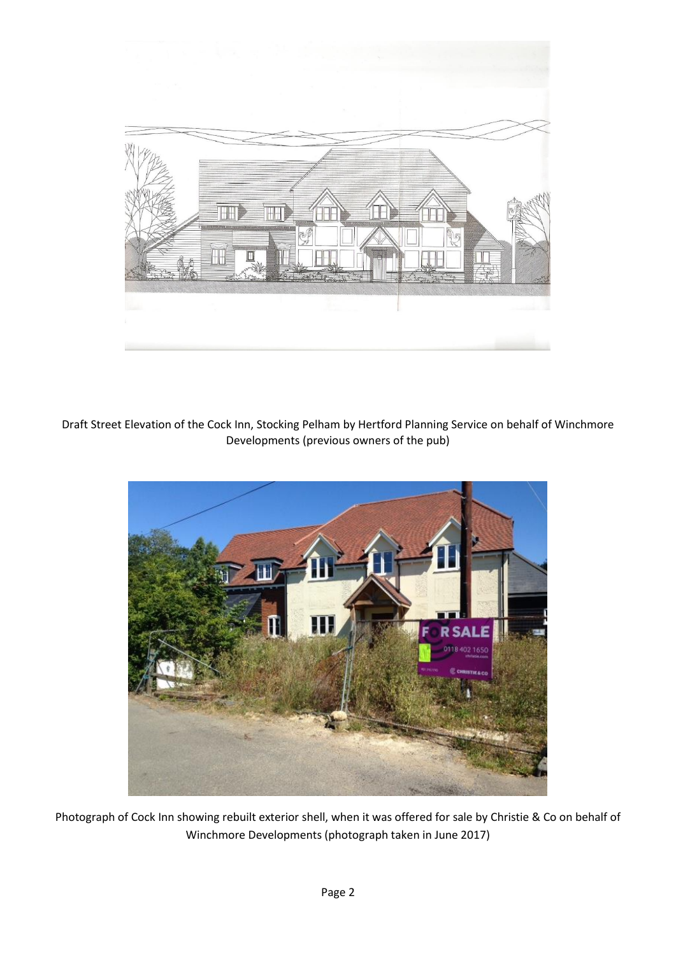

Draft Street Elevation of the Cock Inn, Stocking Pelham by Hertford Planning Service on behalf of Winchmore Developments (previous owners of the pub)



Photograph of Cock Inn showing rebuilt exterior shell, when it was offered for sale by Christie & Co on behalf of Winchmore Developments (photograph taken in June 2017)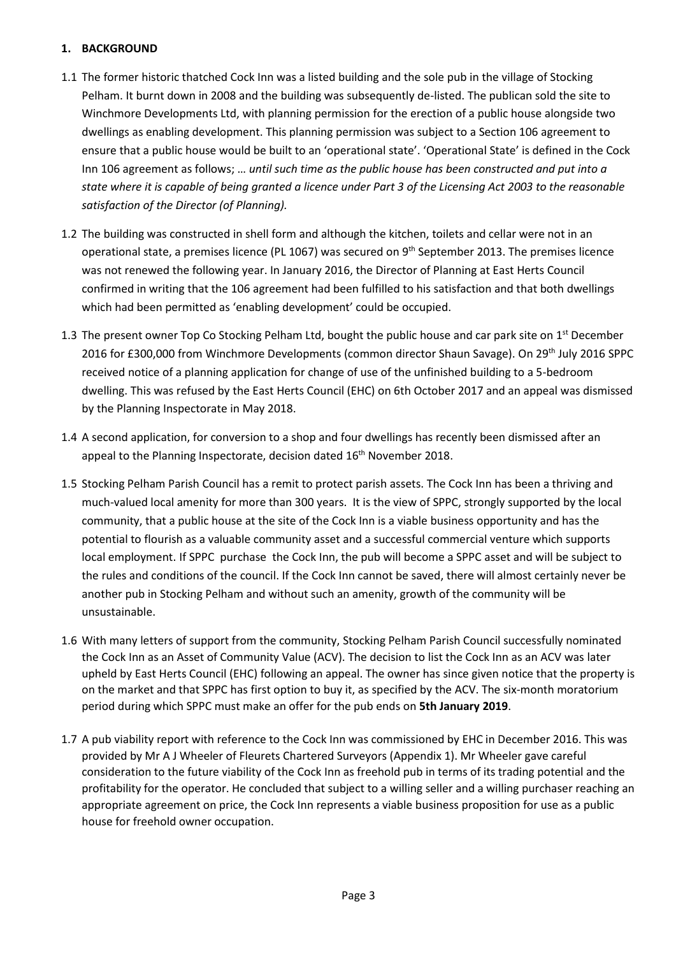### **1. BACKGROUND**

- 1.1 The former historic thatched Cock Inn was a listed building and the sole pub in the village of Stocking Pelham. It burnt down in 2008 and the building was subsequently de-listed. The publican sold the site to Winchmore Developments Ltd, with planning permission for the erection of a public house alongside two dwellings as enabling development. This planning permission was subject to a Section 106 agreement to ensure that a public house would be built to an 'operational state'. 'Operational State' is defined in the Cock Inn 106 agreement as follows; … *until such time as the public house has been constructed and put into a* state where it is capable of being granted a licence under Part 3 of the Licensing Act 2003 to the reasonable *satisfaction of the Director (of Planning).*
- 1.2 The building was constructed in shell form and although the kitchen, toilets and cellar were not in an operational state, a premises licence (PL 1067) was secured on 9<sup>th</sup> September 2013. The premises licence was not renewed the following year. In January 2016, the Director of Planning at East Herts Council confirmed in writing that the 106 agreement had been fulfilled to his satisfaction and that both dwellings which had been permitted as 'enabling development' could be occupied.
- 1.3 The present owner Top Co Stocking Pelham Ltd, bought the public house and car park site on 1<sup>st</sup> December 2016 for £300,000 from Winchmore Developments (common director Shaun Savage). On 29<sup>th</sup> July 2016 SPPC received notice of a planning application for change of use of the unfinished building to a 5-bedroom dwelling. This was refused by the East Herts Council (EHC) on 6th October 2017 and an appeal was dismissed by the Planning Inspectorate in May 2018.
- 1.4 A second application, for conversion to a shop and four dwellings has recently been dismissed after an appeal to the Planning Inspectorate, decision dated 16<sup>th</sup> November 2018.
- 1.5 Stocking Pelham Parish Council has a remit to protect parish assets. The Cock Inn has been a thriving and much-valued local amenity for more than 300 years. It is the view of SPPC, strongly supported by the local community, that a public house at the site of the Cock Inn is a viable business opportunity and has the potential to flourish as a valuable community asset and a successful commercial venture which supports local employment. If SPPC purchase the Cock Inn, the pub will become a SPPC asset and will be subject to the rules and conditions of the council. If the Cock Inn cannot be saved, there will almost certainly never be another pub in Stocking Pelham and without such an amenity, growth of the community will be unsustainable.
- 1.6 With many letters of support from the community, Stocking Pelham Parish Council successfully nominated the Cock Inn as an Asset of Community Value (ACV). The decision to list the Cock Inn as an ACV was later upheld by East Herts Council (EHC) following an appeal. The owner has since given notice that the property is on the market and that SPPC has first option to buy it, as specified by the ACV. The six-month moratorium period during which SPPC must make an offer for the pub ends on **5th January 2019**.
- 1.7 A pub viability report with reference to the Cock Inn was commissioned by EHC in December 2016. This was provided by Mr A J Wheeler of Fleurets Chartered Surveyors (Appendix 1). Mr Wheeler gave careful consideration to the future viability of the Cock Inn as freehold pub in terms of its trading potential and the profitability for the operator. He concluded that subject to a willing seller and a willing purchaser reaching an appropriate agreement on price, the Cock Inn represents a viable business proposition for use as a public house for freehold owner occupation.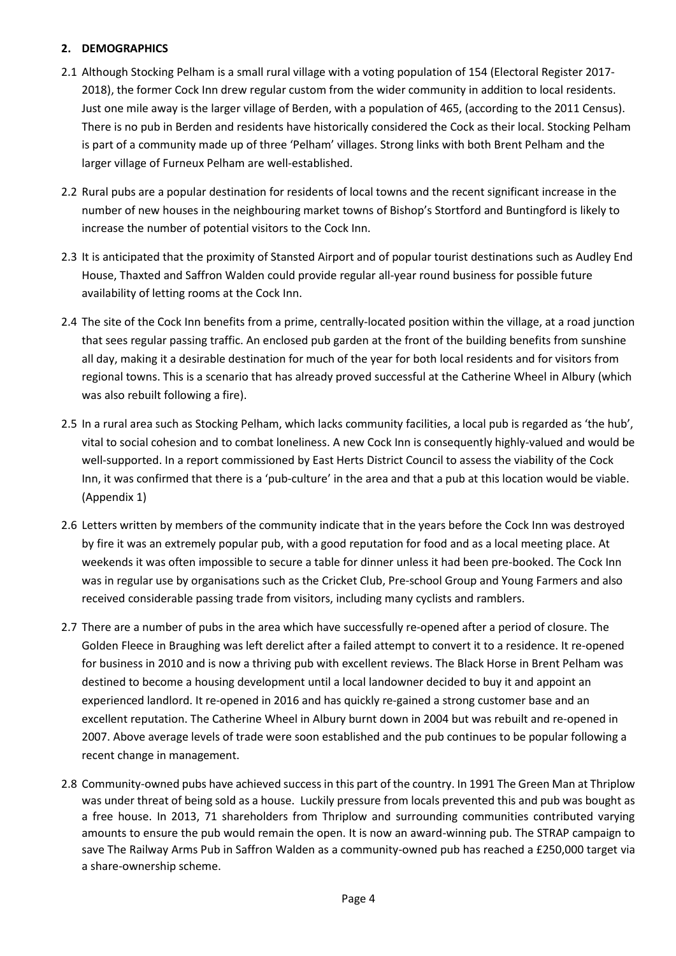## **2. DEMOGRAPHICS**

- 2.1 Although Stocking Pelham is a small rural village with a voting population of 154 (Electoral Register 2017- 2018), the former Cock Inn drew regular custom from the wider community in addition to local residents. Just one mile away is the larger village of Berden, with a population of 465, (according to the 2011 Census). There is no pub in Berden and residents have historically considered the Cock as their local. Stocking Pelham is part of a community made up of three 'Pelham' villages. Strong links with both Brent Pelham and the larger village of Furneux Pelham are well-established.
- 2.2 Rural pubs are a popular destination for residents of local towns and the recent significant increase in the number of new houses in the neighbouring market towns of Bishop's Stortford and Buntingford is likely to increase the number of potential visitors to the Cock Inn.
- 2.3 It is anticipated that the proximity of Stansted Airport and of popular tourist destinations such as Audley End House, Thaxted and Saffron Walden could provide regular all-year round business for possible future availability of letting rooms at the Cock Inn.
- 2.4 The site of the Cock Inn benefits from a prime, centrally-located position within the village, at a road junction that sees regular passing traffic. An enclosed pub garden at the front of the building benefits from sunshine all day, making it a desirable destination for much of the year for both local residents and for visitors from regional towns. This is a scenario that has already proved successful at the Catherine Wheel in Albury (which was also rebuilt following a fire).
- 2.5 In a rural area such as Stocking Pelham, which lacks community facilities, a local pub is regarded as 'the hub', vital to social cohesion and to combat loneliness. A new Cock Inn is consequently highly-valued and would be well-supported. In a report commissioned by East Herts District Council to assess the viability of the Cock Inn, it was confirmed that there is a 'pub-culture' in the area and that a pub at this location would be viable. (Appendix 1)
- 2.6 Letters written by members of the community indicate that in the years before the Cock Inn was destroyed by fire it was an extremely popular pub, with a good reputation for food and as a local meeting place. At weekends it was often impossible to secure a table for dinner unless it had been pre-booked. The Cock Inn was in regular use by organisations such as the Cricket Club, Pre-school Group and Young Farmers and also received considerable passing trade from visitors, including many cyclists and ramblers.
- 2.7 There are a number of pubs in the area which have successfully re-opened after a period of closure. The Golden Fleece in Braughing was left derelict after a failed attempt to convert it to a residence. It re-opened for business in 2010 and is now a thriving pub with excellent reviews. The Black Horse in Brent Pelham was destined to become a housing development until a local landowner decided to buy it and appoint an experienced landlord. It re-opened in 2016 and has quickly re-gained a strong customer base and an excellent reputation. The Catherine Wheel in Albury burnt down in 2004 but was rebuilt and re-opened in 2007. Above average levels of trade were soon established and the pub continues to be popular following a recent change in management.
- 2.8 Community-owned pubs have achieved success in this part of the country. In 1991 The Green Man at Thriplow was under threat of being sold as a house. Luckily pressure from locals prevented this and pub was bought as a free house. In 2013, 71 shareholders from Thriplow and surrounding communities contributed varying amounts to ensure the pub would remain the open. It is now an award-winning pub. The STRAP campaign to save The Railway Arms Pub in Saffron Walden as a community-owned pub has reached a £250,000 target via a share-ownership scheme.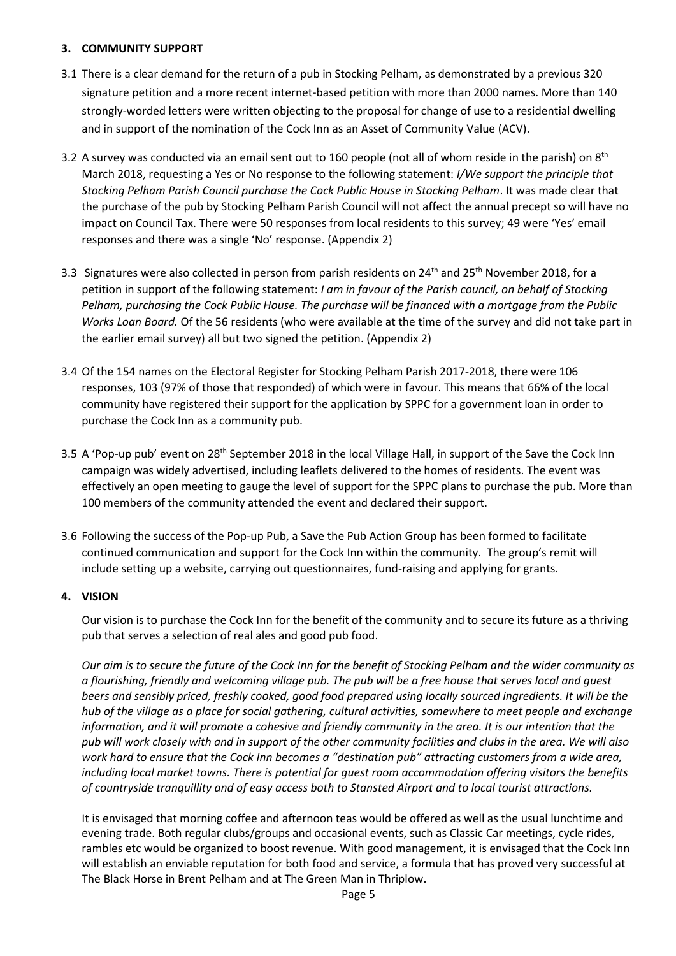### **3. COMMUNITY SUPPORT**

- 3.1 There is a clear demand for the return of a pub in Stocking Pelham, as demonstrated by a previous 320 signature petition and a more recent internet-based petition with more than 2000 names. More than 140 strongly-worded letters were written objecting to the proposal for change of use to a residential dwelling and in support of the nomination of the Cock Inn as an Asset of Community Value (ACV).
- 3.2 A survey was conducted via an email sent out to 160 people (not all of whom reside in the parish) on  $8<sup>th</sup>$ March 2018, requesting a Yes or No response to the following statement: *I/We support the principle that Stocking Pelham Parish Council purchase the Cock Public House in Stocking Pelham*. It was made clear that the purchase of the pub by Stocking Pelham Parish Council will not affect the annual precept so will have no impact on Council Tax. There were 50 responses from local residents to this survey; 49 were 'Yes' email responses and there was a single 'No' response. (Appendix 2)
- 3.3 Signatures were also collected in person from parish residents on 24<sup>th</sup> and 25<sup>th</sup> November 2018, for a petition in support of the following statement: *I am in favour of the Parish council, on behalf of Stocking Pelham, purchasing the Cock Public House. The purchase will be financed with a mortgage from the Public Works Loan Board.* Of the 56 residents (who were available at the time of the survey and did not take part in the earlier email survey) all but two signed the petition. (Appendix 2)
- 3.4 Of the 154 names on the Electoral Register for Stocking Pelham Parish 2017-2018, there were 106 responses, 103 (97% of those that responded) of which were in favour. This means that 66% of the local community have registered their support for the application by SPPC for a government loan in order to purchase the Cock Inn as a community pub.
- 3.5 A 'Pop-up pub' event on 28<sup>th</sup> September 2018 in the local Village Hall, in support of the Save the Cock Inn campaign was widely advertised, including leaflets delivered to the homes of residents. The event was effectively an open meeting to gauge the level of support for the SPPC plans to purchase the pub. More than 100 members of the community attended the event and declared their support.
- 3.6 Following the success of the Pop-up Pub, a Save the Pub Action Group has been formed to facilitate continued communication and support for the Cock Inn within the community. The group's remit will include setting up a website, carrying out questionnaires, fund-raising and applying for grants.

### **4. VISION**

Our vision is to purchase the Cock Inn for the benefit of the community and to secure its future as a thriving pub that serves a selection of real ales and good pub food.

*Our aim is to secure the future of the Cock Inn for the benefit of Stocking Pelham and the wider community as a flourishing, friendly and welcoming village pub. The pub will be a free house that serves local and guest beers and sensibly priced, freshly cooked, good food prepared using locally sourced ingredients. It will be the hub of the village as a place for social gathering, cultural activities, somewhere to meet people and exchange information, and it will promote a cohesive and friendly community in the area. It is our intention that the pub will work closely with and in support of the other community facilities and clubs in the area. We will also work hard to ensure that the Cock Inn becomes a "destination pub" attracting customers from a wide area, including local market towns. There is potential for guest room accommodation offering visitors the benefits of countryside tranquillity and of easy access both to Stansted Airport and to local tourist attractions.*

It is envisaged that morning coffee and afternoon teas would be offered as well as the usual lunchtime and evening trade. Both regular clubs/groups and occasional events, such as Classic Car meetings, cycle rides, rambles etc would be organized to boost revenue. With good management, it is envisaged that the Cock Inn will establish an enviable reputation for both food and service, a formula that has proved very successful at The Black Horse in Brent Pelham and at The Green Man in Thriplow.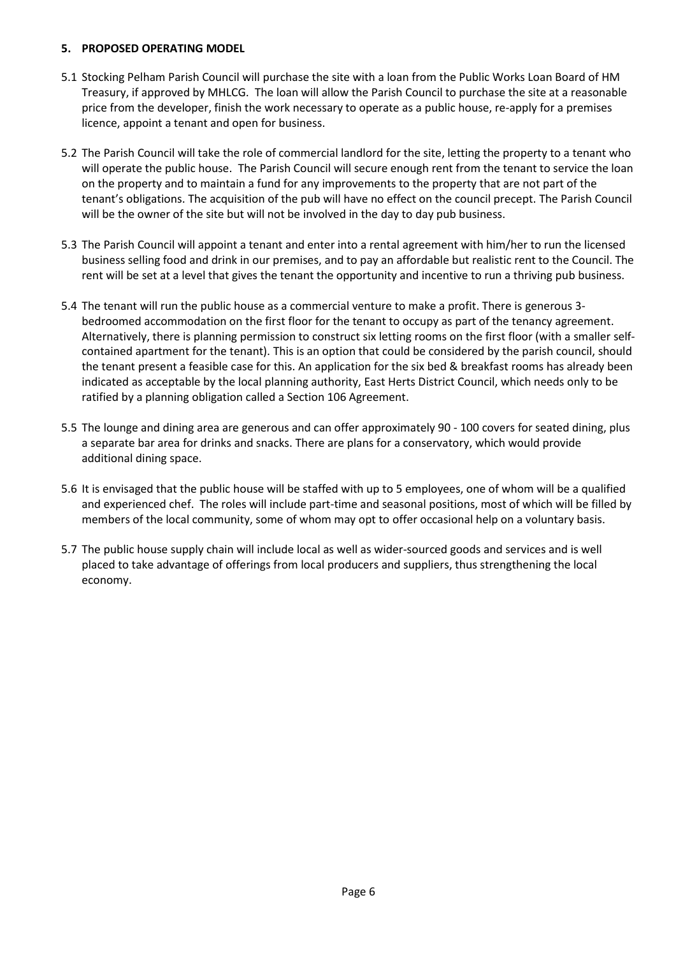#### **5. PROPOSED OPERATING MODEL**

- 5.1 Stocking Pelham Parish Council will purchase the site with a loan from the Public Works Loan Board of HM Treasury, if approved by MHLCG. The loan will allow the Parish Council to purchase the site at a reasonable price from the developer, finish the work necessary to operate as a public house, re-apply for a premises licence, appoint a tenant and open for business.
- 5.2 The Parish Council will take the role of commercial landlord for the site, letting the property to a tenant who will operate the public house. The Parish Council will secure enough rent from the tenant to service the loan on the property and to maintain a fund for any improvements to the property that are not part of the tenant's obligations. The acquisition of the pub will have no effect on the council precept. The Parish Council will be the owner of the site but will not be involved in the day to day pub business.
- 5.3 The Parish Council will appoint a tenant and enter into a rental agreement with him/her to run the licensed business selling food and drink in our premises, and to pay an affordable but realistic rent to the Council. The rent will be set at a level that gives the tenant the opportunity and incentive to run a thriving pub business.
- 5.4 The tenant will run the public house as a commercial venture to make a profit. There is generous 3 bedroomed accommodation on the first floor for the tenant to occupy as part of the tenancy agreement. Alternatively, there is planning permission to construct six letting rooms on the first floor (with a smaller selfcontained apartment for the tenant). This is an option that could be considered by the parish council, should the tenant present a feasible case for this. An application for the six bed & breakfast rooms has already been indicated as acceptable by the local planning authority, East Herts District Council, which needs only to be ratified by a planning obligation called a Section 106 Agreement.
- 5.5 The lounge and dining area are generous and can offer approximately 90 100 covers for seated dining, plus a separate bar area for drinks and snacks. There are plans for a conservatory, which would provide additional dining space.
- 5.6 It is envisaged that the public house will be staffed with up to 5 employees, one of whom will be a qualified and experienced chef. The roles will include part-time and seasonal positions, most of which will be filled by members of the local community, some of whom may opt to offer occasional help on a voluntary basis.
- 5.7 The public house supply chain will include local as well as wider-sourced goods and services and is well placed to take advantage of offerings from local producers and suppliers, thus strengthening the local economy.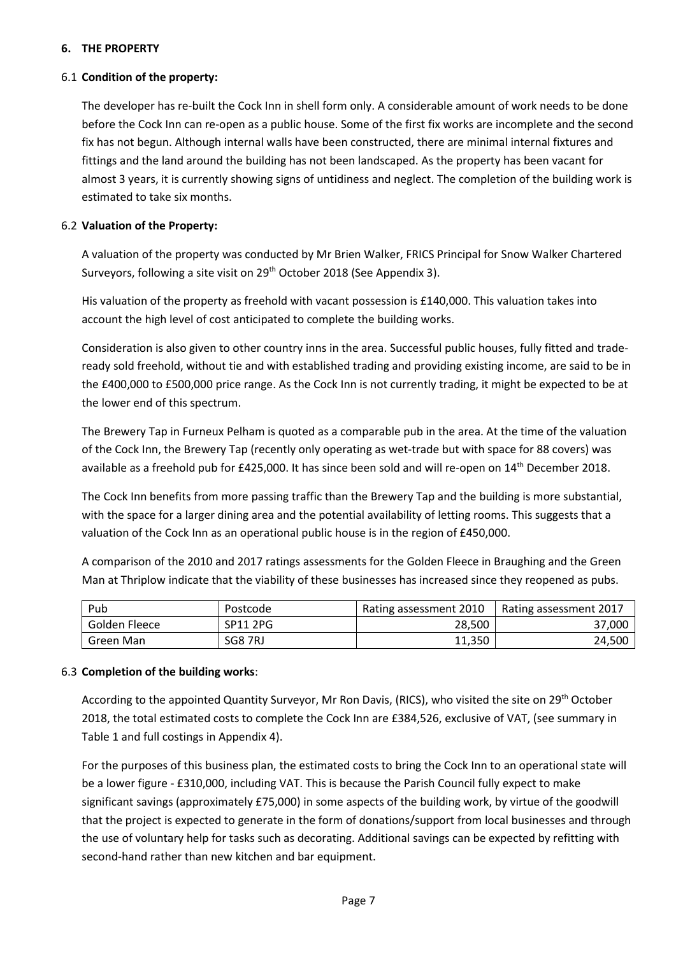### **6. THE PROPERTY**

#### 6.1 **Condition of the property:**

The developer has re-built the Cock Inn in shell form only. A considerable amount of work needs to be done before the Cock Inn can re-open as a public house. Some of the first fix works are incomplete and the second fix has not begun. Although internal walls have been constructed, there are minimal internal fixtures and fittings and the land around the building has not been landscaped. As the property has been vacant for almost 3 years, it is currently showing signs of untidiness and neglect. The completion of the building work is estimated to take six months.

#### 6.2 **Valuation of the Property:**

A valuation of the property was conducted by Mr Brien Walker, FRICS Principal for Snow Walker Chartered Surveyors, following a site visit on 29<sup>th</sup> October 2018 (See Appendix 3).

His valuation of the property as freehold with vacant possession is £140,000. This valuation takes into account the high level of cost anticipated to complete the building works.

Consideration is also given to other country inns in the area. Successful public houses, fully fitted and tradeready sold freehold, without tie and with established trading and providing existing income, are said to be in the £400,000 to £500,000 price range. As the Cock Inn is not currently trading, it might be expected to be at the lower end of this spectrum.

The Brewery Tap in Furneux Pelham is quoted as a comparable pub in the area. At the time of the valuation of the Cock Inn, the Brewery Tap (recently only operating as wet-trade but with space for 88 covers) was available as a freehold pub for £425,000. It has since been sold and will re-open on 14<sup>th</sup> December 2018.

The Cock Inn benefits from more passing traffic than the Brewery Tap and the building is more substantial, with the space for a larger dining area and the potential availability of letting rooms. This suggests that a valuation of the Cock Inn as an operational public house is in the region of £450,000.

A comparison of the 2010 and 2017 ratings assessments for the Golden Fleece in Braughing and the Green Man at Thriplow indicate that the viability of these businesses has increased since they reopened as pubs.

| Pub           | Postcode | Rating assessment 2010 | Rating assessment 2017 |
|---------------|----------|------------------------|------------------------|
| Golden Fleece | SP11 2PG | 28,500                 | 37,000                 |
| Green Man     | SG8 7RJ  | 11,350                 | 24,500                 |

#### 6.3 **Completion of the building works**:

According to the appointed Quantity Surveyor, Mr Ron Davis, (RICS), who visited the site on 29th October 2018, the total estimated costs to complete the Cock Inn are £384,526, exclusive of VAT, (see summary in Table 1 and full costings in Appendix 4).

For the purposes of this business plan, the estimated costs to bring the Cock Inn to an operational state will be a lower figure - £310,000, including VAT. This is because the Parish Council fully expect to make significant savings (approximately £75,000) in some aspects of the building work, by virtue of the goodwill that the project is expected to generate in the form of donations/support from local businesses and through the use of voluntary help for tasks such as decorating. Additional savings can be expected by refitting with second-hand rather than new kitchen and bar equipment.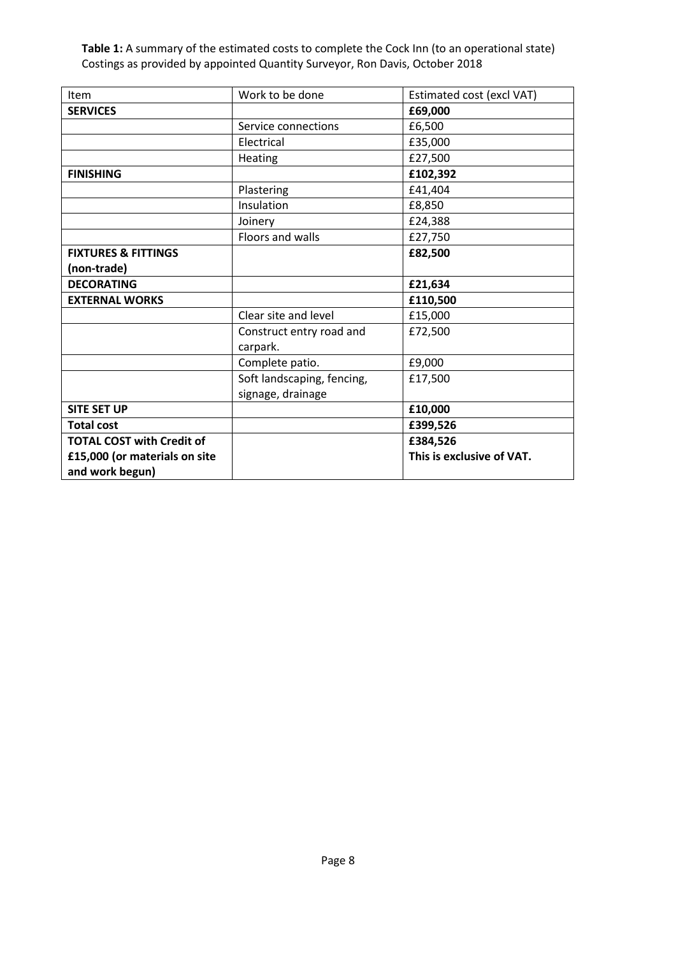**Table 1:** A summary of the estimated costs to complete the Cock Inn (to an operational state) Costings as provided by appointed Quantity Surveyor, Ron Davis, October 2018

| <b>Item</b>                      | Work to be done                      | Estimated cost (excl VAT) |
|----------------------------------|--------------------------------------|---------------------------|
| <b>SERVICES</b>                  |                                      | £69,000                   |
|                                  | Service connections                  | £6,500                    |
|                                  | Electrical                           | £35,000                   |
|                                  | Heating                              | £27,500                   |
| <b>FINISHING</b>                 |                                      | £102,392                  |
|                                  | Plastering                           | £41,404                   |
|                                  | Insulation                           | £8,850                    |
|                                  | Joinery                              | £24,388                   |
|                                  | Floors and walls                     | £27,750                   |
| <b>FIXTURES &amp; FITTINGS</b>   |                                      | £82,500                   |
| (non-trade)                      |                                      |                           |
| <b>DECORATING</b>                |                                      | £21,634                   |
| <b>EXTERNAL WORKS</b>            |                                      | £110,500                  |
|                                  | Clear site and level                 | £15,000                   |
|                                  | Construct entry road and<br>carpark. | £72,500                   |
|                                  | Complete patio.                      | £9,000                    |
|                                  | Soft landscaping, fencing,           | £17,500                   |
|                                  | signage, drainage                    |                           |
| <b>SITE SET UP</b>               |                                      | £10,000                   |
| <b>Total cost</b>                |                                      | £399,526                  |
| <b>TOTAL COST with Credit of</b> |                                      | £384,526                  |
| £15,000 (or materials on site    |                                      | This is exclusive of VAT. |
| and work begun)                  |                                      |                           |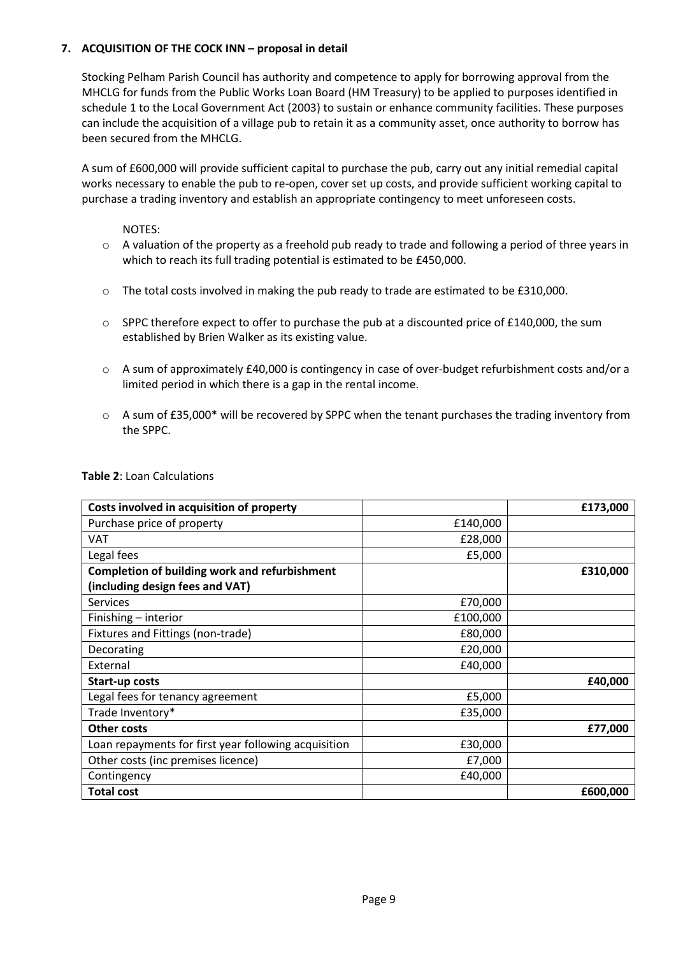### **7. ACQUISITION OF THE COCK INN – proposal in detail**

Stocking Pelham Parish Council has authority and competence to apply for borrowing approval from the MHCLG for funds from the Public Works Loan Board (HM Treasury) to be applied to purposes identified in schedule 1 to the Local Government Act (2003) to sustain or enhance community facilities. These purposes can include the acquisition of a village pub to retain it as a community asset, once authority to borrow has been secured from the MHCLG.

A sum of £600,000 will provide sufficient capital to purchase the pub, carry out any initial remedial capital works necessary to enable the pub to re-open, cover set up costs, and provide sufficient working capital to purchase a trading inventory and establish an appropriate contingency to meet unforeseen costs.

NOTES:

- $\circ$  A valuation of the property as a freehold pub ready to trade and following a period of three years in which to reach its full trading potential is estimated to be £450,000.
- o The total costs involved in making the pub ready to trade are estimated to be £310,000.
- $\circ$  SPPC therefore expect to offer to purchase the pub at a discounted price of £140,000, the sum established by Brien Walker as its existing value.
- o A sum of approximately £40,000 is contingency in case of over-budget refurbishment costs and/or a limited period in which there is a gap in the rental income.
- $\circ$  A sum of £35,000\* will be recovered by SPPC when the tenant purchases the trading inventory from the SPPC.

| Costs involved in acquisition of property            |          | £173,000 |
|------------------------------------------------------|----------|----------|
| Purchase price of property                           | £140,000 |          |
| VAT                                                  | £28,000  |          |
| Legal fees                                           | £5,000   |          |
| <b>Completion of building work and refurbishment</b> |          | £310,000 |
| (including design fees and VAT)                      |          |          |
| <b>Services</b>                                      | £70,000  |          |
| Finishing - interior                                 | £100,000 |          |
| Fixtures and Fittings (non-trade)                    | £80,000  |          |
| Decorating                                           | £20,000  |          |
| External                                             | £40,000  |          |
| <b>Start-up costs</b>                                |          | £40,000  |
| Legal fees for tenancy agreement                     | £5,000   |          |
| Trade Inventory*                                     | £35,000  |          |
| <b>Other costs</b>                                   |          | £77,000  |
| Loan repayments for first year following acquisition | £30,000  |          |
| Other costs (inc premises licence)                   | £7,000   |          |
| Contingency                                          | £40,000  |          |
| <b>Total cost</b>                                    |          | £600,000 |

### **Table 2**: Loan Calculations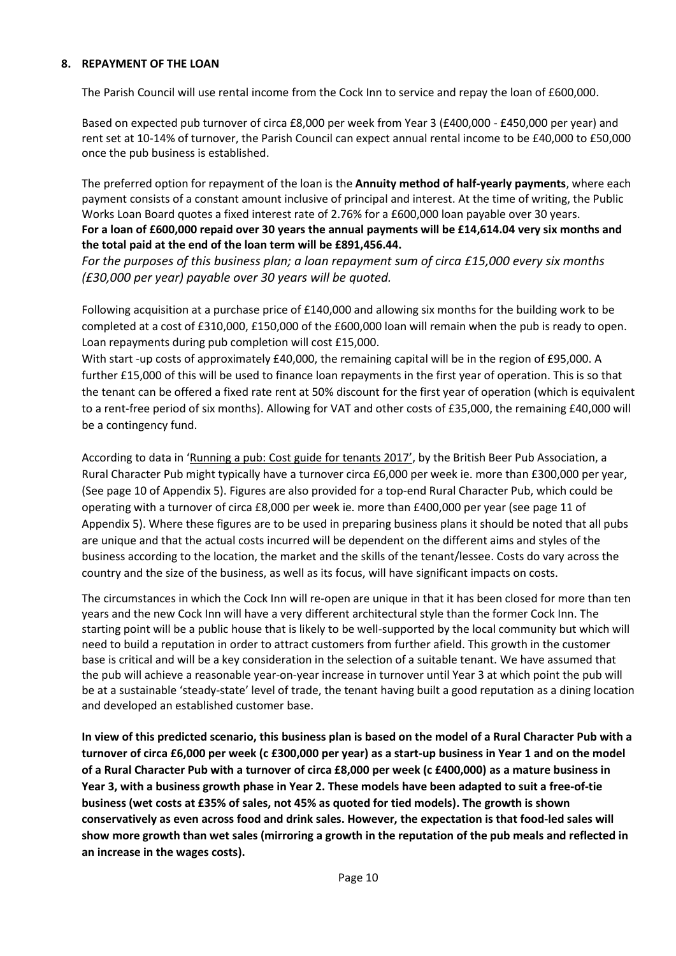#### **8. REPAYMENT OF THE LOAN**

The Parish Council will use rental income from the Cock Inn to service and repay the loan of £600,000.

Based on expected pub turnover of circa £8,000 per week from Year 3 (£400,000 - £450,000 per year) and rent set at 10-14% of turnover, the Parish Council can expect annual rental income to be £40,000 to £50,000 once the pub business is established.

The preferred option for repayment of the loan is the **Annuity method of half-yearly payments**, where each payment consists of a constant amount inclusive of principal and interest. At the time of writing, the Public Works Loan Board quotes a fixed interest rate of 2.76% for a £600,000 loan payable over 30 years. **For a loan of £600,000 repaid over 30 years the annual payments will be £14,614.04 very six months and the total paid at the end of the loan term will be £891,456.44.**

*For the purposes of this business plan; a loan repayment sum of circa £15,000 every six months (£30,000 per year) payable over 30 years will be quoted.*

Following acquisition at a purchase price of £140,000 and allowing six months for the building work to be completed at a cost of £310,000, £150,000 of the £600,000 loan will remain when the pub is ready to open. Loan repayments during pub completion will cost £15,000.

With start -up costs of approximately £40,000, the remaining capital will be in the region of £95,000. A further £15,000 of this will be used to finance loan repayments in the first year of operation. This is so that the tenant can be offered a fixed rate rent at 50% discount for the first year of operation (which is equivalent to a rent-free period of six months). Allowing for VAT and other costs of £35,000, the remaining £40,000 will be a contingency fund.

According to data in 'Running a pub: Cost guide for tenants 2017', by the British Beer Pub Association, a Rural Character Pub might typically have a turnover circa £6,000 per week ie. more than £300,000 per year, (See page 10 of Appendix 5). Figures are also provided for a top-end Rural Character Pub, which could be operating with a turnover of circa £8,000 per week ie. more than £400,000 per year (see page 11 of Appendix 5). Where these figures are to be used in preparing business plans it should be noted that all pubs are unique and that the actual costs incurred will be dependent on the different aims and styles of the business according to the location, the market and the skills of the tenant/lessee. Costs do vary across the country and the size of the business, as well as its focus, will have significant impacts on costs.

The circumstances in which the Cock Inn will re-open are unique in that it has been closed for more than ten years and the new Cock Inn will have a very different architectural style than the former Cock Inn. The starting point will be a public house that is likely to be well-supported by the local community but which will need to build a reputation in order to attract customers from further afield. This growth in the customer base is critical and will be a key consideration in the selection of a suitable tenant. We have assumed that the pub will achieve a reasonable year-on-year increase in turnover until Year 3 at which point the pub will be at a sustainable 'steady-state' level of trade, the tenant having built a good reputation as a dining location and developed an established customer base.

**In view of this predicted scenario, this business plan is based on the model of a Rural Character Pub with a turnover of circa £6,000 per week (c £300,000 per year) as a start-up business in Year 1 and on the model of a Rural Character Pub with a turnover of circa £8,000 per week (c £400,000) as a mature business in Year 3, with a business growth phase in Year 2. These models have been adapted to suit a free-of-tie business (wet costs at £35% of sales, not 45% as quoted for tied models). The growth is shown conservatively as even across food and drink sales. However, the expectation is that food-led sales will show more growth than wet sales (mirroring a growth in the reputation of the pub meals and reflected in an increase in the wages costs).**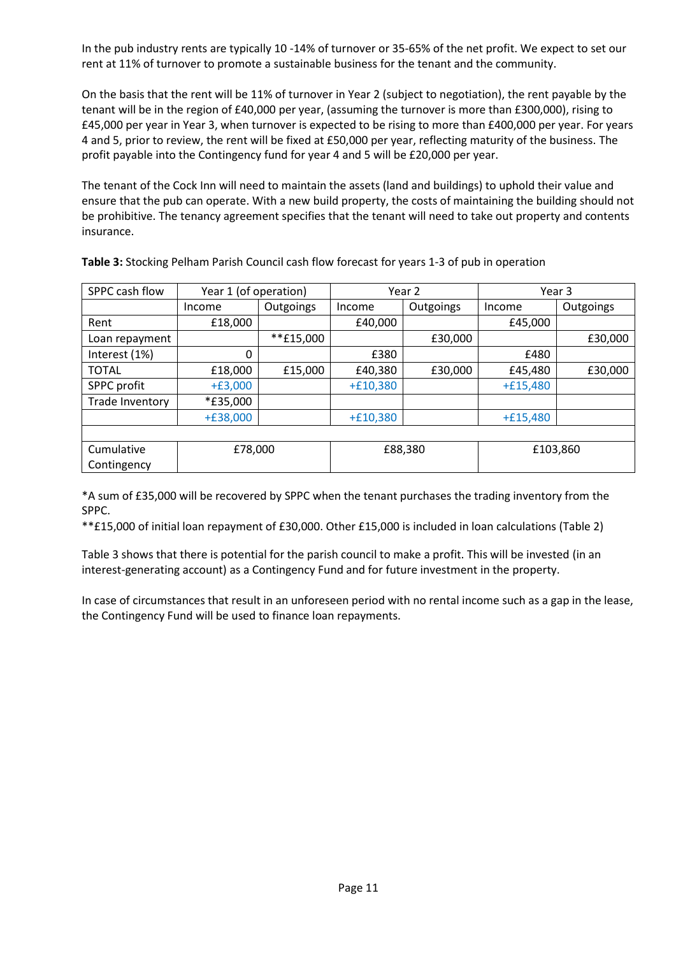In the pub industry rents are typically 10 -14% of turnover or 35-65% of the net profit. We expect to set our rent at 11% of turnover to promote a sustainable business for the tenant and the community.

On the basis that the rent will be 11% of turnover in Year 2 (subject to negotiation), the rent payable by the tenant will be in the region of £40,000 per year, (assuming the turnover is more than £300,000), rising to £45,000 per year in Year 3, when turnover is expected to be rising to more than £400,000 per year. For years 4 and 5, prior to review, the rent will be fixed at £50,000 per year, reflecting maturity of the business. The profit payable into the Contingency fund for year 4 and 5 will be £20,000 per year.

The tenant of the Cock Inn will need to maintain the assets (land and buildings) to uphold their value and ensure that the pub can operate. With a new build property, the costs of maintaining the building should not be prohibitive. The tenancy agreement specifies that the tenant will need to take out property and contents insurance.

| SPPC cash flow        | Year 1 (of operation) |             | Year 2     |           | Year 3     |           |
|-----------------------|-----------------------|-------------|------------|-----------|------------|-----------|
|                       | Income                | Outgoings   | Income     | Outgoings | Income     | Outgoings |
| Rent                  | £18,000               |             | £40,000    |           | £45,000    |           |
| Loan repayment        |                       | $**f15,000$ |            | £30,000   |            | £30,000   |
| Interest (1%)         | 0                     |             | £380       |           | £480       |           |
| <b>TOTAL</b>          | £18,000               | £15,000     | £40,380    | £30,000   | £45,480    | £30,000   |
| SPPC profit           | $+£3,000$             |             | $+£10,380$ |           | $+£15,480$ |           |
| Trade Inventory       | <i>*</i> £35,000      |             |            |           |            |           |
|                       | $+£38,000$            |             | $+£10,380$ |           | $+£15,480$ |           |
|                       |                       |             |            |           |            |           |
| Cumulative<br>£78,000 |                       |             | £88,380    |           | £103,860   |           |
| Contingency           |                       |             |            |           |            |           |

**Table 3:** Stocking Pelham Parish Council cash flow forecast for years 1-3 of pub in operation

\*A sum of £35,000 will be recovered by SPPC when the tenant purchases the trading inventory from the SPPC.

\*\*£15,000 of initial loan repayment of £30,000. Other £15,000 is included in loan calculations (Table 2)

Table 3 shows that there is potential for the parish council to make a profit. This will be invested (in an interest-generating account) as a Contingency Fund and for future investment in the property.

In case of circumstances that result in an unforeseen period with no rental income such as a gap in the lease, the Contingency Fund will be used to finance loan repayments.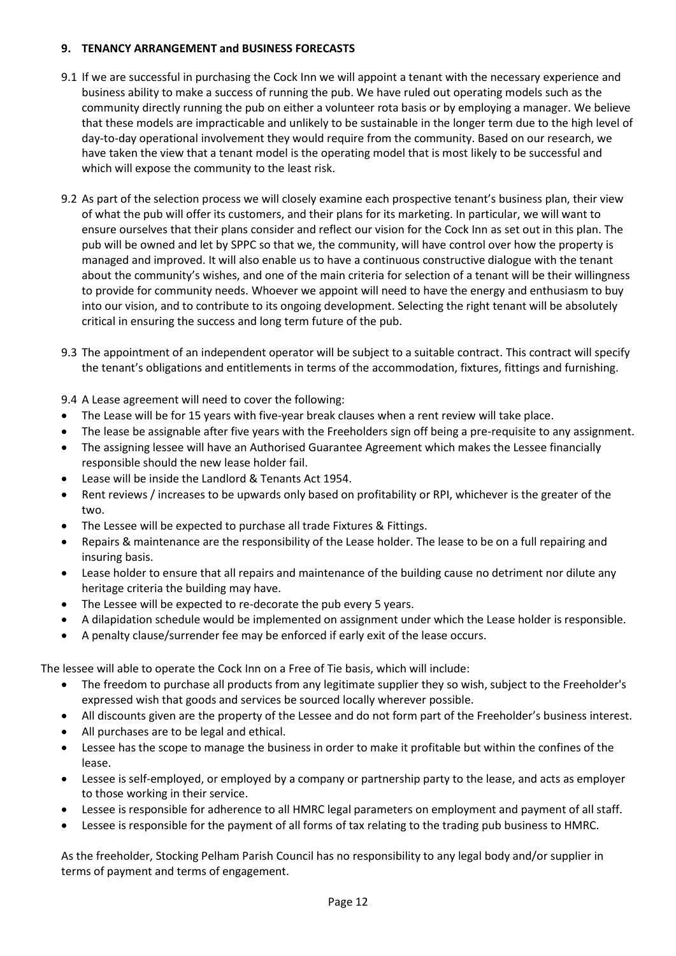### **9. TENANCY ARRANGEMENT and BUSINESS FORECASTS**

- 9.1 If we are successful in purchasing the Cock Inn we will appoint a tenant with the necessary experience and business ability to make a success of running the pub. We have ruled out operating models such as the community directly running the pub on either a volunteer rota basis or by employing a manager. We believe that these models are impracticable and unlikely to be sustainable in the longer term due to the high level of day-to-day operational involvement they would require from the community. Based on our research, we have taken the view that a tenant model is the operating model that is most likely to be successful and which will expose the community to the least risk.
- 9.2 As part of the selection process we will closely examine each prospective tenant's business plan, their view of what the pub will offer its customers, and their plans for its marketing. In particular, we will want to ensure ourselves that their plans consider and reflect our vision for the Cock Inn as set out in this plan. The pub will be owned and let by SPPC so that we, the community, will have control over how the property is managed and improved. It will also enable us to have a continuous constructive dialogue with the tenant about the community's wishes, and one of the main criteria for selection of a tenant will be their willingness to provide for community needs. Whoever we appoint will need to have the energy and enthusiasm to buy into our vision, and to contribute to its ongoing development. Selecting the right tenant will be absolutely critical in ensuring the success and long term future of the pub.
- 9.3 The appointment of an independent operator will be subject to a suitable contract. This contract will specify the tenant's obligations and entitlements in terms of the accommodation, fixtures, fittings and furnishing.

9.4 A Lease agreement will need to cover the following:

- The Lease will be for 15 years with five-year break clauses when a rent review will take place.
- The lease be assignable after five years with the Freeholders sign off being a pre-requisite to any assignment.
- The assigning lessee will have an Authorised Guarantee Agreement which makes the Lessee financially responsible should the new lease holder fail.
- Lease will be inside the Landlord & Tenants Act 1954.
- Rent reviews / increases to be upwards only based on profitability or RPI, whichever is the greater of the two.
- The Lessee will be expected to purchase all trade Fixtures & Fittings.
- Repairs & maintenance are the responsibility of the Lease holder. The lease to be on a full repairing and insuring basis.
- Lease holder to ensure that all repairs and maintenance of the building cause no detriment nor dilute any heritage criteria the building may have.
- The Lessee will be expected to re-decorate the pub every 5 years.
- A dilapidation schedule would be implemented on assignment under which the Lease holder is responsible.
- A penalty clause/surrender fee may be enforced if early exit of the lease occurs.

The lessee will able to operate the Cock Inn on a Free of Tie basis, which will include:

- The freedom to purchase all products from any legitimate supplier they so wish, subject to the Freeholder's expressed wish that goods and services be sourced locally wherever possible.
- All discounts given are the property of the Lessee and do not form part of the Freeholder's business interest.
- All purchases are to be legal and ethical.
- Lessee has the scope to manage the business in order to make it profitable but within the confines of the lease.
- Lessee is self-employed, or employed by a company or partnership party to the lease, and acts as employer to those working in their service.
- Lessee is responsible for adherence to all HMRC legal parameters on employment and payment of all staff.
- Lessee is responsible for the payment of all forms of tax relating to the trading pub business to HMRC.

As the freeholder, Stocking Pelham Parish Council has no responsibility to any legal body and/or supplier in terms of payment and terms of engagement.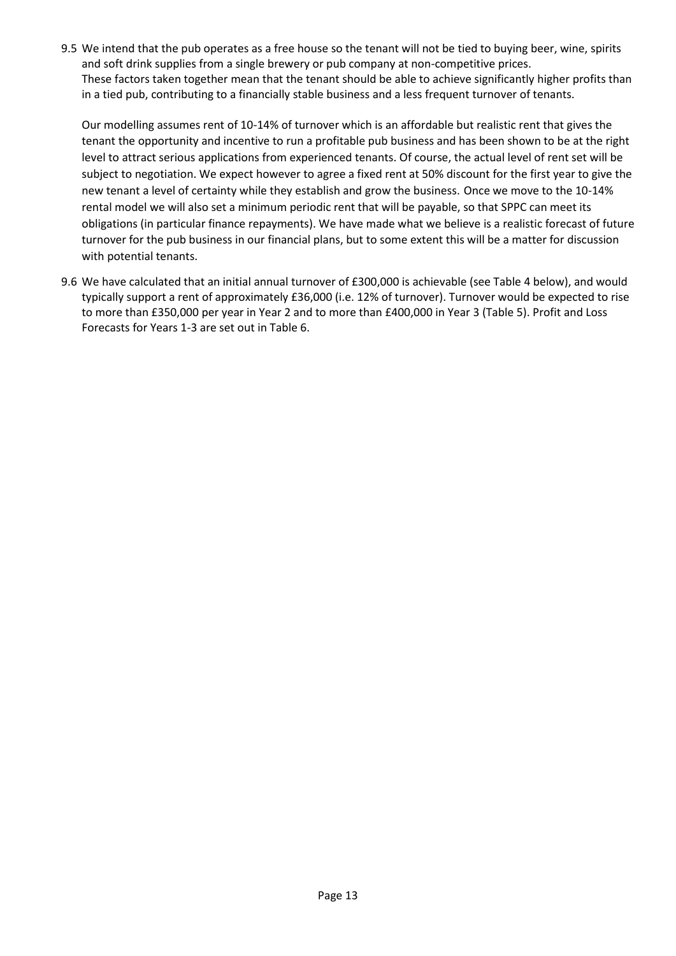9.5 We intend that the pub operates as a free house so the tenant will not be tied to buying beer, wine, spirits and soft drink supplies from a single brewery or pub company at non-competitive prices. These factors taken together mean that the tenant should be able to achieve significantly higher profits than in a tied pub, contributing to a financially stable business and a less frequent turnover of tenants.

Our modelling assumes rent of 10-14% of turnover which is an affordable but realistic rent that gives the tenant the opportunity and incentive to run a profitable pub business and has been shown to be at the right level to attract serious applications from experienced tenants. Of course, the actual level of rent set will be subject to negotiation. We expect however to agree a fixed rent at 50% discount for the first year to give the new tenant a level of certainty while they establish and grow the business. Once we move to the 10-14% rental model we will also set a minimum periodic rent that will be payable, so that SPPC can meet its obligations (in particular finance repayments). We have made what we believe is a realistic forecast of future turnover for the pub business in our financial plans, but to some extent this will be a matter for discussion with potential tenants.

9.6 We have calculated that an initial annual turnover of £300,000 is achievable (see Table 4 below), and would typically support a rent of approximately £36,000 (i.e. 12% of turnover). Turnover would be expected to rise to more than £350,000 per year in Year 2 and to more than £400,000 in Year 3 (Table 5). Profit and Loss Forecasts for Years 1-3 are set out in Table 6.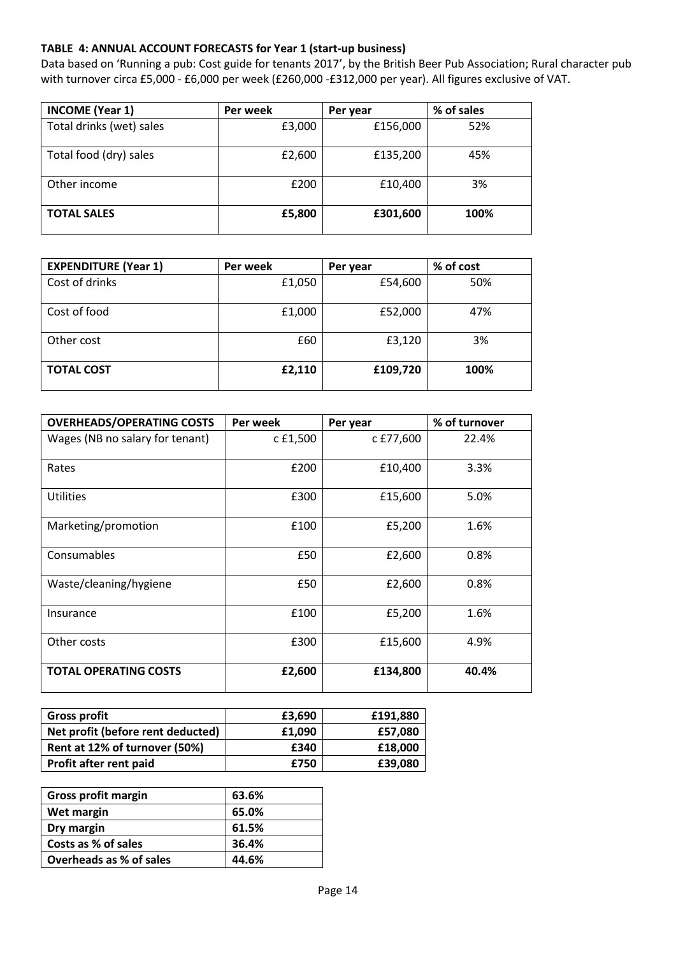### **TABLE 4: ANNUAL ACCOUNT FORECASTS for Year 1 (start-up business)**

Data based on 'Running a pub: Cost guide for tenants 2017', by the British Beer Pub Association; Rural character pub with turnover circa £5,000 - £6,000 per week (£260,000 -£312,000 per year). All figures exclusive of VAT.

| <b>INCOME (Year 1)</b>   | Per week | Per year | % of sales |
|--------------------------|----------|----------|------------|
| Total drinks (wet) sales | £3,000   | £156,000 | 52%        |
| Total food (dry) sales   | £2,600   | £135,200 | 45%        |
| Other income             | £200     | £10,400  | 3%         |
| <b>TOTAL SALES</b>       | £5,800   | £301,600 | 100%       |

| <b>EXPENDITURE (Year 1)</b> | Per week | Per year | % of cost |
|-----------------------------|----------|----------|-----------|
| Cost of drinks              | £1,050   | £54,600  | 50%       |
| Cost of food                | £1,000   | £52,000  | 47%       |
| Other cost                  | £60      | £3,120   | 3%        |
| <b>TOTAL COST</b>           | £2,110   | £109,720 | 100%      |

| <b>OVERHEADS/OPERATING COSTS</b> | Per week | Per year  | % of turnover |
|----------------------------------|----------|-----------|---------------|
| Wages (NB no salary for tenant)  | c £1,500 | c £77,600 | 22.4%         |
| Rates                            | £200     | £10,400   | 3.3%          |
| <b>Utilities</b>                 | £300     | £15,600   | 5.0%          |
| Marketing/promotion              | £100     | £5,200    | 1.6%          |
| Consumables                      | £50      | £2,600    | 0.8%          |
| Waste/cleaning/hygiene           | £50      | £2,600    | 0.8%          |
| Insurance                        | £100     | £5,200    | 1.6%          |
| Other costs                      | £300     | £15,600   | 4.9%          |
| <b>TOTAL OPERATING COSTS</b>     | £2,600   | £134,800  | 40.4%         |

| <b>Gross profit</b>               | £3,690 | £191,880 |
|-----------------------------------|--------|----------|
| Net profit (before rent deducted) | £1.090 | £57,080  |
| Rent at 12% of turnover (50%)     | £340   | £18,000  |
| Profit after rent paid            | £750   | £39,080  |

| Gross profit margin     | 63.6% |
|-------------------------|-------|
| Wet margin              | 65.0% |
| Dry margin              | 61.5% |
| Costs as % of sales     | 36.4% |
| Overheads as % of sales | 44.6% |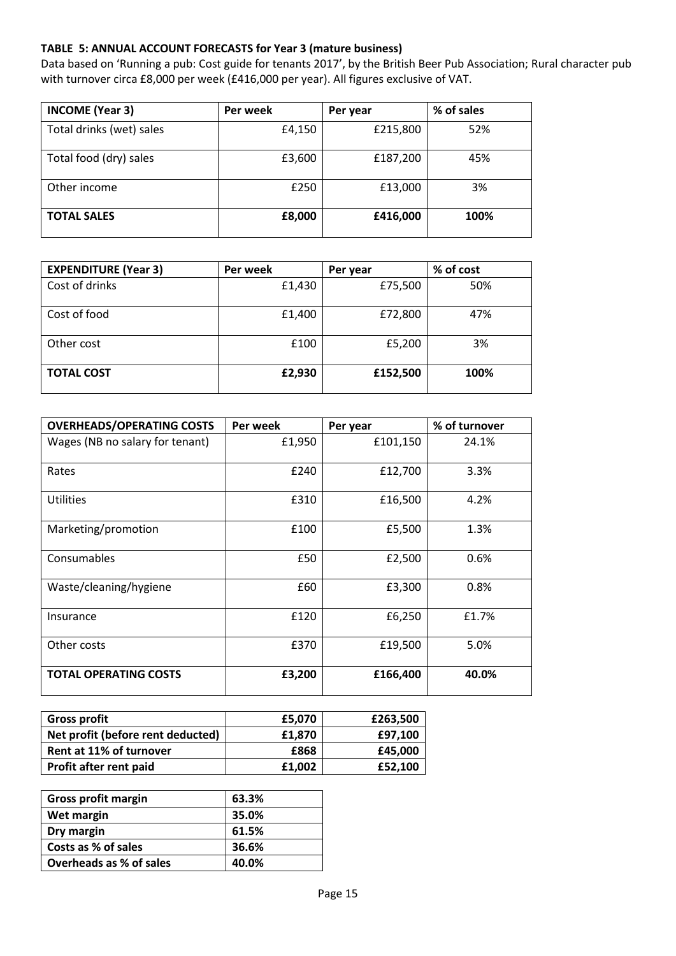### **TABLE 5: ANNUAL ACCOUNT FORECASTS for Year 3 (mature business)**

Data based on 'Running a pub: Cost guide for tenants 2017', by the British Beer Pub Association; Rural character pub with turnover circa £8,000 per week (£416,000 per year). All figures exclusive of VAT.

| <b>INCOME (Year 3)</b>   | Per week | Per year | % of sales |
|--------------------------|----------|----------|------------|
| Total drinks (wet) sales | £4,150   | £215,800 | 52%        |
| Total food (dry) sales   | £3,600   | £187,200 | 45%        |
| Other income             | £250     | £13,000  | 3%         |
| <b>TOTAL SALES</b>       | £8,000   | £416,000 | 100%       |

| <b>EXPENDITURE (Year 3)</b> | Per week | Per year | % of cost |
|-----------------------------|----------|----------|-----------|
| Cost of drinks              | £1,430   | £75,500  | 50%       |
| Cost of food                | £1,400   | £72,800  | 47%       |
| Other cost                  | £100     | £5,200   | 3%        |
| <b>TOTAL COST</b>           | £2,930   | £152,500 | 100%      |

| <b>OVERHEADS/OPERATING COSTS</b> | Per week | Per year | % of turnover |
|----------------------------------|----------|----------|---------------|
| Wages (NB no salary for tenant)  | £1,950   | £101,150 | 24.1%         |
| Rates                            | £240     | £12,700  | 3.3%          |
| <b>Utilities</b>                 | £310     | £16,500  | 4.2%          |
| Marketing/promotion              | £100     | £5,500   | 1.3%          |
| Consumables                      | £50      | £2,500   | 0.6%          |
| Waste/cleaning/hygiene           | £60      | £3,300   | 0.8%          |
| Insurance                        | £120     | £6,250   | £1.7%         |
| Other costs                      | £370     | £19,500  | 5.0%          |
| <b>TOTAL OPERATING COSTS</b>     | £3,200   | £166,400 | 40.0%         |

| <b>Gross profit</b>               | £5.070 | £263,500 |
|-----------------------------------|--------|----------|
| Net profit (before rent deducted) | £1.870 | £97,100  |
| Rent at 11% of turnover           | £868   | £45.000  |
| <b>Profit after rent paid</b>     | £1,002 | £52,100  |

| <b>Gross profit margin</b> | 63.3% |
|----------------------------|-------|
| Wet margin                 | 35.0% |
| Dry margin                 | 61.5% |
| Costs as % of sales        | 36.6% |
| Overheads as % of sales    | 40.0% |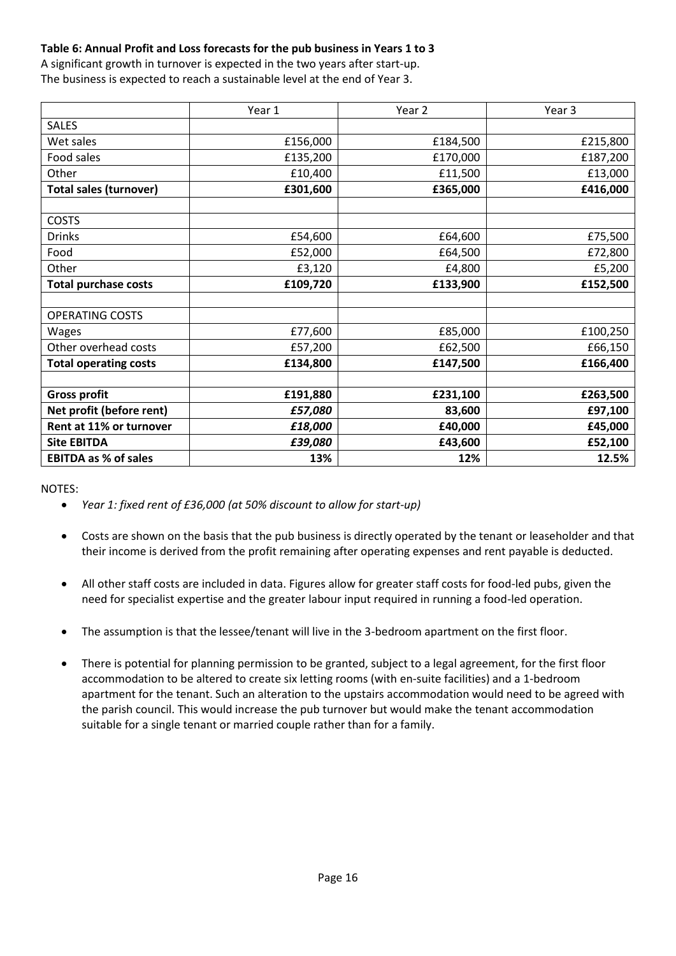# **Table 6: Annual Profit and Loss forecasts for the pub business in Years 1 to 3**

A significant growth in turnover is expected in the two years after start-up. The business is expected to reach a sustainable level at the end of Year 3.

|                               | Year 1   | Year 2   | Year 3   |
|-------------------------------|----------|----------|----------|
| <b>SALES</b>                  |          |          |          |
| Wet sales                     | £156,000 | £184,500 | £215,800 |
| Food sales                    | £135,200 | £170,000 | £187,200 |
| Other                         | £10,400  | £11,500  | £13,000  |
| <b>Total sales (turnover)</b> | £301,600 | £365,000 | £416,000 |
|                               |          |          |          |
| <b>COSTS</b>                  |          |          |          |
| <b>Drinks</b>                 | £54,600  | £64,600  | £75,500  |
| Food                          | £52,000  | £64,500  | £72,800  |
| Other                         | £3,120   | £4,800   | £5,200   |
| <b>Total purchase costs</b>   | £109,720 | £133,900 | £152,500 |
|                               |          |          |          |
| <b>OPERATING COSTS</b>        |          |          |          |
| Wages                         | £77,600  | £85,000  | £100,250 |
| Other overhead costs          | £57,200  | £62,500  | £66,150  |
| <b>Total operating costs</b>  | £134,800 | £147,500 | £166,400 |
|                               |          |          |          |
| <b>Gross profit</b>           | £191,880 | £231,100 | £263,500 |
| Net profit (before rent)      | £57,080  | 83,600   | £97,100  |
| Rent at 11% or turnover       | £18,000  | £40,000  | £45,000  |
| <b>Site EBITDA</b>            | £39,080  | £43,600  | £52,100  |
| <b>EBITDA as % of sales</b>   | 13%      | 12%      | 12.5%    |

NOTES:

- *Year 1: fixed rent of £36,000 (at 50% discount to allow for start-up)*
- Costs are shown on the basis that the pub business is directly operated by the tenant or leaseholder and that their income is derived from the profit remaining after operating expenses and rent payable is deducted.
- All other staff costs are included in data. Figures allow for greater staff costs for food-led pubs, given the need for specialist expertise and the greater labour input required in running a food-led operation.
- The assumption is that the lessee/tenant will live in the 3-bedroom apartment on the first floor.
- There is potential for planning permission to be granted, subject to a legal agreement, for the first floor accommodation to be altered to create six letting rooms (with en-suite facilities) and a 1-bedroom apartment for the tenant. Such an alteration to the upstairs accommodation would need to be agreed with the parish council. This would increase the pub turnover but would make the tenant accommodation suitable for a single tenant or married couple rather than for a family.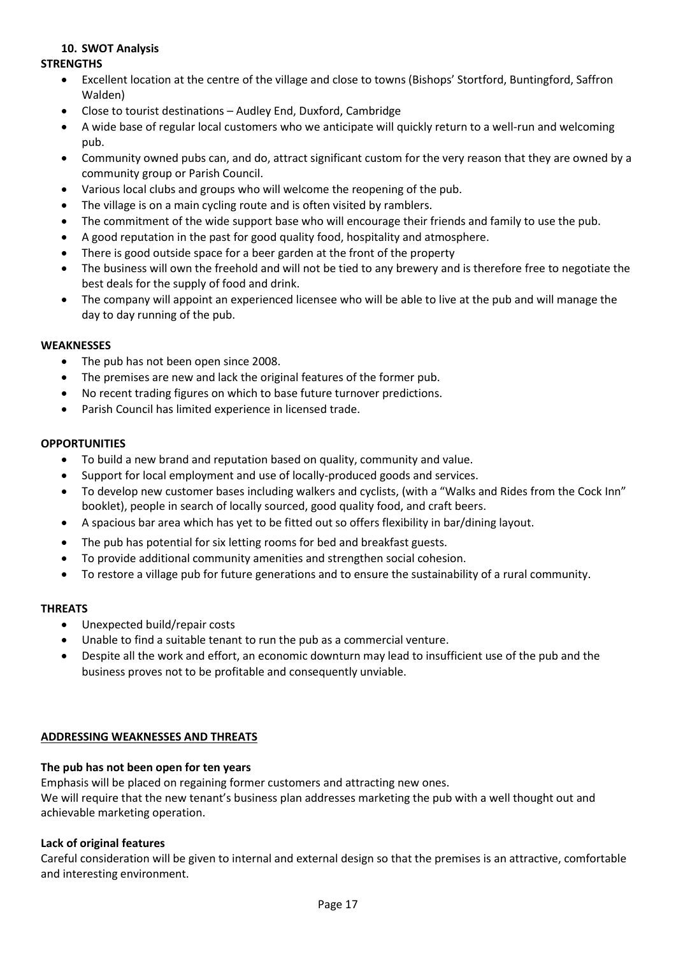### **10. SWOT Analysis**

#### **STRENGTHS**

- Excellent location at the centre of the village and close to towns (Bishops' Stortford, Buntingford, Saffron Walden)
- Close to tourist destinations Audley End, Duxford, Cambridge
- A wide base of regular local customers who we anticipate will quickly return to a well-run and welcoming pub.
- Community owned pubs can, and do, attract significant custom for the very reason that they are owned by a community group or Parish Council.
- Various local clubs and groups who will welcome the reopening of the pub.
- The village is on a main cycling route and is often visited by ramblers.
- The commitment of the wide support base who will encourage their friends and family to use the pub.
- A good reputation in the past for good quality food, hospitality and atmosphere.
- There is good outside space for a beer garden at the front of the property
- The business will own the freehold and will not be tied to any brewery and is therefore free to negotiate the best deals for the supply of food and drink.
- The company will appoint an experienced licensee who will be able to live at the pub and will manage the day to day running of the pub.

#### **WEAKNESSES**

- The pub has not been open since 2008.
- The premises are new and lack the original features of the former pub.
- No recent trading figures on which to base future turnover predictions.
- Parish Council has limited experience in licensed trade.

#### **OPPORTUNITIES**

- To build a new brand and reputation based on quality, community and value.
- Support for local employment and use of locally-produced goods and services.
- To develop new customer bases including walkers and cyclists, (with a "Walks and Rides from the Cock Inn" booklet), people in search of locally sourced, good quality food, and craft beers.
- A spacious bar area which has yet to be fitted out so offers flexibility in bar/dining layout.
- The pub has potential for six letting rooms for bed and breakfast guests.
- To provide additional community amenities and strengthen social cohesion.
- To restore a village pub for future generations and to ensure the sustainability of a rural community.

### **THREATS**

- Unexpected build/repair costs
- Unable to find a suitable tenant to run the pub as a commercial venture.
- Despite all the work and effort, an economic downturn may lead to insufficient use of the pub and the business proves not to be profitable and consequently unviable.

### **ADDRESSING WEAKNESSES AND THREATS**

### **The pub has not been open for ten years**

Emphasis will be placed on regaining former customers and attracting new ones. We will require that the new tenant's business plan addresses marketing the pub with a well thought out and achievable marketing operation.

### **Lack of original features**

Careful consideration will be given to internal and external design so that the premises is an attractive, comfortable and interesting environment.